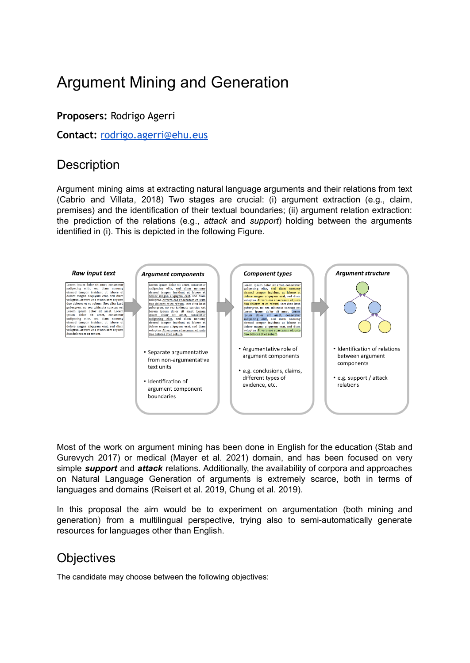# Argument Mining and Generation

#### **Proposers:** Rodrigo Agerri

**Contact:** [rodrigo.agerri@ehu.eus](http://rodrigo.agerri@ehu.eus)

### **Description**

Argument mining aims at extracting natural language arguments and their relations from text (Cabrio and Villata, 2018) Two stages are crucial: (i) argument extraction (e.g., claim, premises) and the identification of their textual boundaries; (ii) argument relation extraction: the prediction of the relations (e.g., *attack* and *support*) holding between the arguments identified in (i). This is depicted in the following Figure.



Most of the work on argument mining has been done in English for the education (Stab and Gurevych 2017) or medical (Mayer et al. 2021) domain, and has been focused on very simple *support* and *attack* relations. Additionally, the availability of corpora and approaches on Natural Language Generation of arguments is extremely scarce, both in terms of languages and domains (Reisert et al. 2019, Chung et al. 2019).

In this proposal the aim would be to experiment on argumentation (both mining and generation) from a multilingual perspective, trying also to semi-automatically generate resources for languages other than English.

#### **Objectives**

The candidate may choose between the following objectives: